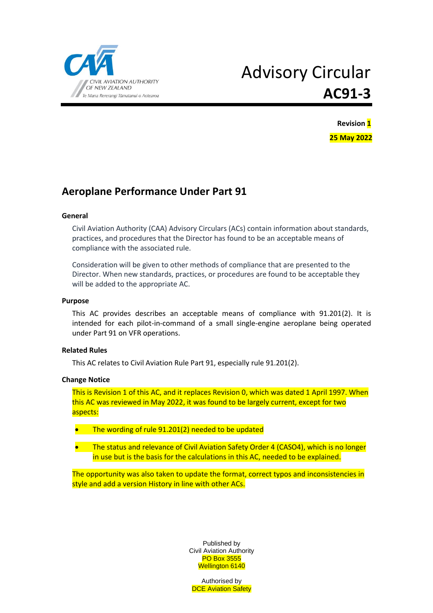

# Advisory Circular **AC91-3**



## **Aeroplane Performance Under Part 91**

#### **General**

Civil Aviation Authority (CAA) Advisory Circulars (ACs) contain information about standards, practices, and procedures that the Director has found to be an acceptable means of compliance with the associated rule.

Consideration will be given to other methods of compliance that are presented to the Director. When new standards, practices, or procedures are found to be acceptable they will be added to the appropriate AC.

#### **Purpose**

This AC provides describes an acceptable means of compliance with 91.201(2). It is intended for each pilot-in-command of a small single-engine aeroplane being operated under Part 91 on VFR operations.

#### **Related Rules**

This AC relates to Civil Aviation Rule Part 91, especially rule 91.201(2).

#### **Change Notice**

This is Revision 1 of this AC, and it replaces Revision 0, which was dated 1 April 1997. When this AC was reviewed in May 2022, it was found to be largely current, except for two aspects:

- The wording of rule 91.201(2) needed to be updated
- The status and relevance of Civil Aviation Safety Order 4 (CASO4), which is no longer in use but is the basis for the calculations in this AC, needed to be explained.

The opportunity was also taken to update the format, correct typos and inconsistencies in style and add a version History in line with other ACs.

> Published by Civil Aviation Authority PO Box 3555 Wellington 6140

Authorised by **DCE Aviation Safety**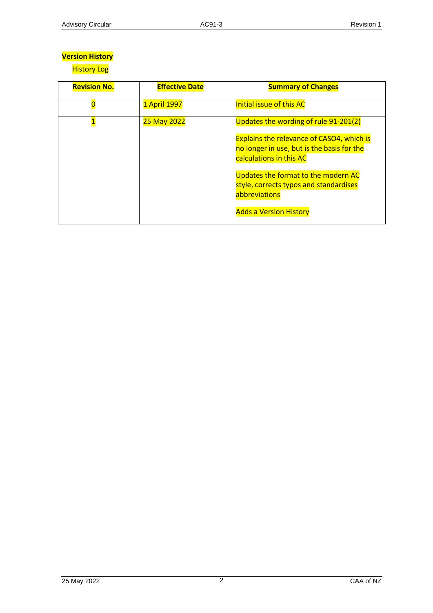## **Version History**

**History Log** 

| <b>Revision No.</b> | <b>Effective Date</b> | <b>Summary of Changes</b>                                                                                                 |
|---------------------|-----------------------|---------------------------------------------------------------------------------------------------------------------------|
|                     | 1 April 1997          | Initial issue of this AC                                                                                                  |
|                     | 25 May 2022           | Updates the wording of rule 91-201(2)                                                                                     |
|                     |                       | <b>Explains the relevance of CASO4, which is</b><br>no longer in use, but is the basis for the<br>calculations in this AC |
|                     |                       | Updates the format to the modern AC<br>style, corrects typos and standardises<br>abbreviations                            |
|                     |                       | <b>Adds a Version History</b>                                                                                             |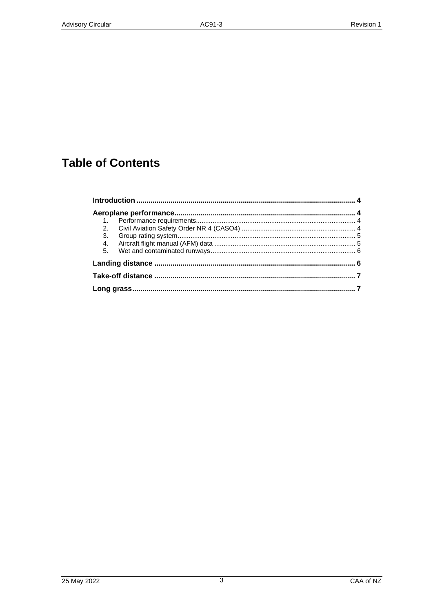## **Table of Contents**

| 1.             |  |  |  |  |
|----------------|--|--|--|--|
| 2.             |  |  |  |  |
| 3.             |  |  |  |  |
| 4.             |  |  |  |  |
| 5 <sub>1</sub> |  |  |  |  |
|                |  |  |  |  |
|                |  |  |  |  |
|                |  |  |  |  |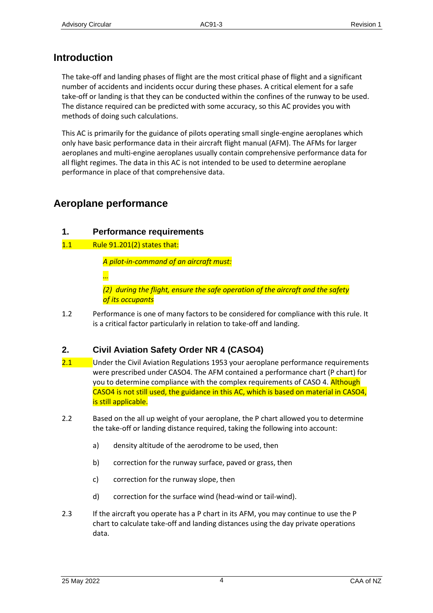## <span id="page-3-0"></span>**Introduction**

The take-off and landing phases of flight are the most critical phase of flight and a significant number of accidents and incidents occur during these phases. A critical element for a safe take-off or landing is that they can be conducted within the confines of the runway to be used. The distance required can be predicted with some accuracy, so this AC provides you with methods of doing such calculations.

This AC is primarily for the guidance of pilots operating small single-engine aeroplanes which only have basic performance data in their aircraft flight manual (AFM). The AFMs for larger aeroplanes and multi-engine aeroplanes usually contain comprehensive performance data for all flight regimes. The data in this AC is not intended to be used to determine aeroplane performance in place of that comprehensive data.

## <span id="page-3-1"></span>**Aeroplane performance**

#### <span id="page-3-2"></span>**1. Performance requirements**

1.1 Rule 91.201(2) states that:

*A pilot-in-command of an aircraft must:*

*…*

*(2) during the flight, ensure the safe operation of the aircraft and the safety of its occupants*

1.2 Performance is one of many factors to be considered for compliance with this rule. It is a critical factor particularly in relation to take-off and landing.

### <span id="page-3-3"></span>**2. Civil Aviation Safety Order NR 4 (CASO4)**

- 2.1 Under the Civil Aviation Regulations 1953 your aeroplane performance requirements were prescribed under CASO4. The AFM contained a performance chart (P chart) for you to determine compliance with the complex requirements of CASO 4. Although CASO4 is not still used, the guidance in this AC, which is based on material in CASO4, is still applicable.
- 2.2 Based on the all up weight of your aeroplane, the P chart allowed you to determine the take-off or landing distance required, taking the following into account:
	- a) density altitude of the aerodrome to be used, then
	- b) correction for the runway surface, paved or grass, then
	- c) correction for the runway slope, then
	- d) correction for the surface wind (head-wind or tail-wind).
- 2.3 If the aircraft you operate has a P chart in its AFM, you may continue to use the P chart to calculate take-off and landing distances using the day private operations data.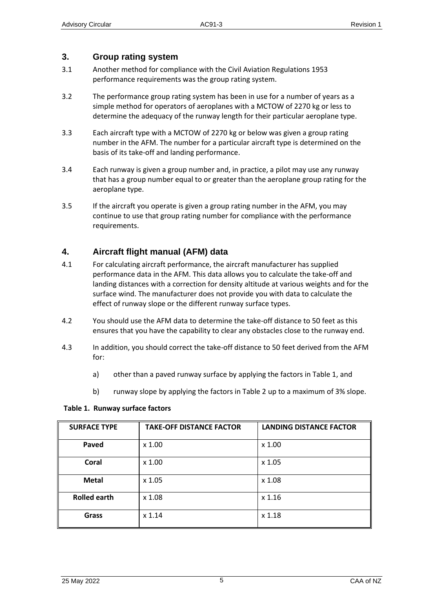#### <span id="page-4-0"></span>**3. Group rating system**

- 3.1 Another method for compliance with the Civil Aviation Regulations 1953 performance requirements was the group rating system.
- 3.2 The performance group rating system has been in use for a number of years as a simple method for operators of aeroplanes with a MCTOW of 2270 kg or less to determine the adequacy of the runway length for their particular aeroplane type.
- 3.3 Each aircraft type with a MCTOW of 2270 kg or below was given a group rating number in the AFM. The number for a particular aircraft type is determined on the basis of its take-off and landing performance.
- 3.4 Each runway is given a group number and, in practice, a pilot may use any runway that has a group number equal to or greater than the aeroplane group rating for the aeroplane type.
- 3.5 If the aircraft you operate is given a group rating number in the AFM, you may continue to use that group rating number for compliance with the performance requirements.

#### <span id="page-4-1"></span>**4. Aircraft flight manual (AFM) data**

- 4.1 For calculating aircraft performance, the aircraft manufacturer has supplied performance data in the AFM. This data allows you to calculate the take-off and landing distances with a correction for density altitude at various weights and for the surface wind. The manufacturer does not provide you with data to calculate the effect of runway slope or the different runway surface types.
- 4.2 You should use the AFM data to determine the take-off distance to 50 feet as this ensures that you have the capability to clear any obstacles close to the runway end.
- 4.3 In addition, you should correct the take-off distance to 50 feet derived from the AFM for:
	- a) other than a paved runway surface by applying the factors in Table 1, and
	- b) runway slope by applying the factors in Table 2 up to a maximum of 3% slope.

#### **Table 1. Runway surface factors**

| <b>SURFACE TYPE</b> | <b>TAKE-OFF DISTANCE FACTOR</b> | <b>LANDING DISTANCE FACTOR</b> |  |
|---------------------|---------------------------------|--------------------------------|--|
| Paved               | $\times 1.00$                   | x 1.00                         |  |
| Coral               | $\times 1.00$                   | x 1.05                         |  |
| <b>Metal</b>        | $x$ 1.05                        | x 1.08                         |  |
| <b>Rolled earth</b> | $x$ 1.08                        | $x$ 1.16                       |  |
| <b>Grass</b>        | $x$ 1.14                        | x 1.18                         |  |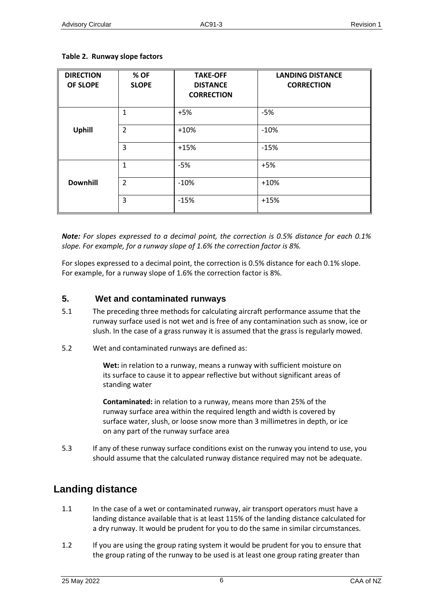| <b>DIRECTION</b><br><b>OF SLOPE</b> | % OF<br><b>SLOPE</b> | <b>TAKE-OFF</b><br><b>DISTANCE</b><br><b>CORRECTION</b> | <b>LANDING DISTANCE</b><br><b>CORRECTION</b> |
|-------------------------------------|----------------------|---------------------------------------------------------|----------------------------------------------|
|                                     | 1                    | $+5%$                                                   | $-5%$                                        |
| <b>Uphill</b>                       | $\overline{2}$       | $+10%$                                                  | $-10%$                                       |
|                                     | 3                    | $+15%$                                                  | $-15%$                                       |
|                                     | 1                    | $-5%$                                                   | $+5%$                                        |
| <b>Downhill</b>                     | $\overline{2}$       | $-10%$                                                  | $+10%$                                       |
|                                     | 3                    | $-15%$                                                  | $+15%$                                       |

#### **Table 2. Runway slope factors**

*Note: For slopes expressed to a decimal point, the correction is 0.5% distance for each 0.1% slope. For example, for a runway slope of 1.6% the correction factor is 8%.*

For slopes expressed to a decimal point, the correction is 0.5% distance for each 0.1% slope. For example, for a runway slope of 1.6% the correction factor is 8%.

#### <span id="page-5-0"></span>**5. Wet and contaminated runways**

- 5.1 The preceding three methods for calculating aircraft performance assume that the runway surface used is not wet and is free of any contamination such as snow, ice or slush. In the case of a grass runway it is assumed that the grass is regularly mowed.
- 5.2 Wet and contaminated runways are defined as:

**Wet:** in relation to a runway, means a runway with sufficient moisture on its surface to cause it to appear reflective but without significant areas of standing water

**Contaminated:** in relation to a runway, means more than 25% of the runway surface area within the required length and width is covered by surface water, slush, or loose snow more than 3 millimetres in depth, or ice on any part of the runway surface area

5.3 If any of these runway surface conditions exist on the runway you intend to use, you should assume that the calculated runway distance required may not be adequate.

## <span id="page-5-1"></span>**Landing distance**

- 1.1 In the case of a wet or contaminated runway, air transport operators must have a landing distance available that is at least 115% of the landing distance calculated for a dry runway. It would be prudent for you to do the same in similar circumstances.
- 1.2 If you are using the group rating system it would be prudent for you to ensure that the group rating of the runway to be used is at least one group rating greater than